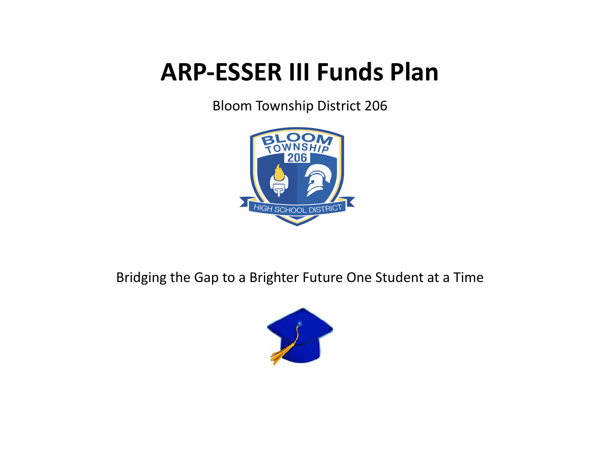# **ARP-ESSER III Funds Plan**

Bloom Township District 206



Bridging the Gap to a Brighter Future One Student at a Time

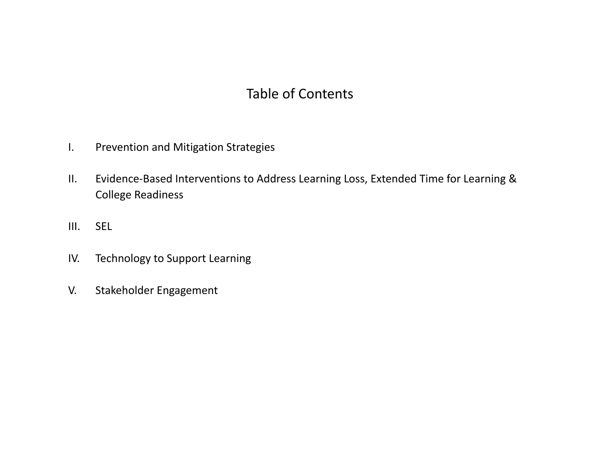## Table of Contents

- I. Prevention and Mitigation Strategies
- II. Evidence-Based Interventions to Address Learning Loss, Extended Time for Learning & College Readiness
- III. SEL
- IV. Technology to Support Learning
- V. Stakeholder Engagement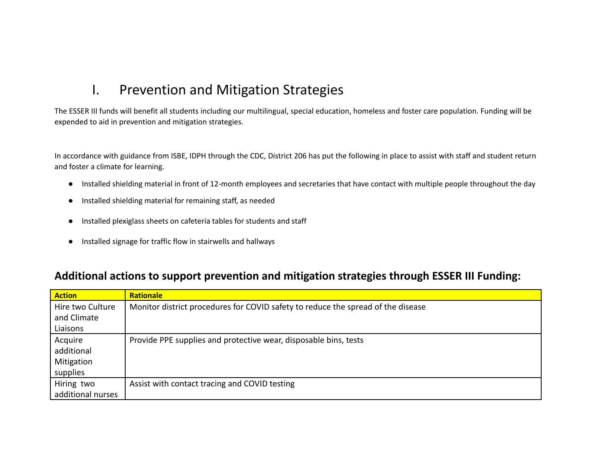### I. Prevention and Mitigation Strategies

The ESSER III funds will benefit all students including our multilingual, special education, homeless and foster care population. Funding will be expended to aid in prevention and mitigation strategies.

In accordance with guidance from ISBE, IDPH through the CDC, District 206 has put the following in place to assist with staff and student return and foster a climate for learning.

- Installed shielding material in front of 12-month employees and secretaries that have contact with multiple people throughout the day
- Installed shielding material for remaining staff, as needed
- Installed plexiglass sheets on cafeteria tables for students and staff
- Installed signage for traffic flow in stairwells and hallways

#### **Additional actions to support prevention and mitigation strategies through ESSER III Funding:**

| <b>Action</b>     | <b>Rationale</b>                                                                 |
|-------------------|----------------------------------------------------------------------------------|
| Hire two Culture  | Monitor district procedures for COVID safety to reduce the spread of the disease |
| and Climate       |                                                                                  |
| Liaisons          |                                                                                  |
| Acquire           | Provide PPE supplies and protective wear, disposable bins, tests                 |
| additional        |                                                                                  |
| Mitigation        |                                                                                  |
| supplies          |                                                                                  |
| Hiring two        | Assist with contact tracing and COVID testing                                    |
| additional nurses |                                                                                  |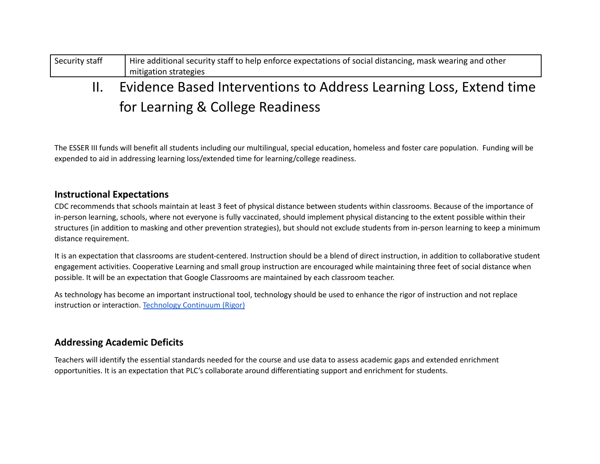| Security staff | Hire additional security staff to help enforce expectations of social distancing, mask wearing and other |
|----------------|----------------------------------------------------------------------------------------------------------|
|                | mitigation strategies                                                                                    |
|                |                                                                                                          |

# II. Evidence Based Interventions to Address Learning Loss, Extend time for Learning & College Readiness

The ESSER III funds will benefit all students including our multilingual, special education, homeless and foster care population. Funding will be expended to aid in addressing learning loss/extended time for learning/college readiness.

#### **Instructional Expectations**

CDC recommends that schools maintain at least 3 feet of physical distance between students within classrooms. Because of the importance of in-person learning, schools, where not everyone is fully vaccinated, should implement physical distancing to the extent possible within their structures (in addition to masking and other prevention strategies), but should not exclude students from in-person learning to keep a minimum distance requirement.

It is an expectation that classrooms are student-centered. Instruction should be a blend of direct instruction, in addition to collaborative student engagement activities. Cooperative Learning and small group instruction are encouraged while maintaining three feet of social distance when possible. It will be an expectation that Google Classrooms are maintained by each classroom teacher.

As technology has become an important instructional tool, technology should be used to enhance the rigor of instruction and not replace instruction or interaction. [Technology](https://drive.google.com/file/d/1ohqos3tqg1xPmRboalf88GCMns9g4-6E/view?usp=sharing) Continuum (Rigor)

#### **Addressing Academic Deficits**

Teachers will identify the essential standards needed for the course and use data to assess academic gaps and extended enrichment opportunities. It is an expectation that PLC's collaborate around differentiating support and enrichment for students.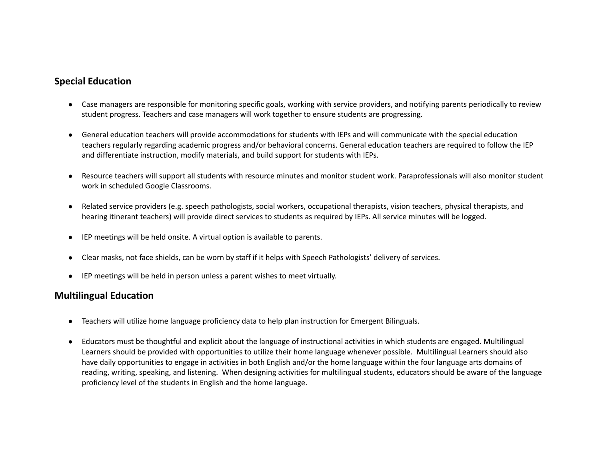#### **Special Education**

- Case managers are responsible for monitoring specific goals, working with service providers, and notifying parents periodically to review student progress. Teachers and case managers will work together to ensure students are progressing.
- General education teachers will provide accommodations for students with IEPs and will communicate with the special education teachers regularly regarding academic progress and/or behavioral concerns. General education teachers are required to follow the IEP and differentiate instruction, modify materials, and build support for students with IEPs.
- Resource teachers will support all students with resource minutes and monitor student work. Paraprofessionals will also monitor student work in scheduled Google Classrooms.
- Related service providers (e.g. speech pathologists, social workers, occupational therapists, vision teachers, physical therapists, and hearing itinerant teachers) will provide direct services to students as required by IEPs. All service minutes will be logged.
- IEP meetings will be held onsite. A virtual option is available to parents.
- Clear masks, not face shields, can be worn by staff if it helps with Speech Pathologists' delivery of services.
- IEP meetings will be held in person unless a parent wishes to meet virtually.

#### **Multilingual Education**

- Teachers will utilize home language proficiency data to help plan instruction for Emergent Bilinguals.
- Educators must be thoughtful and explicit about the language of instructional activities in which students are engaged. Multilingual Learners should be provided with opportunities to utilize their home language whenever possible. Multilingual Learners should also have daily opportunities to engage in activities in both English and/or the home language within the four language arts domains of reading, writing, speaking, and listening. When designing activities for multilingual students, educators should be aware of the language proficiency level of the students in English and the home language.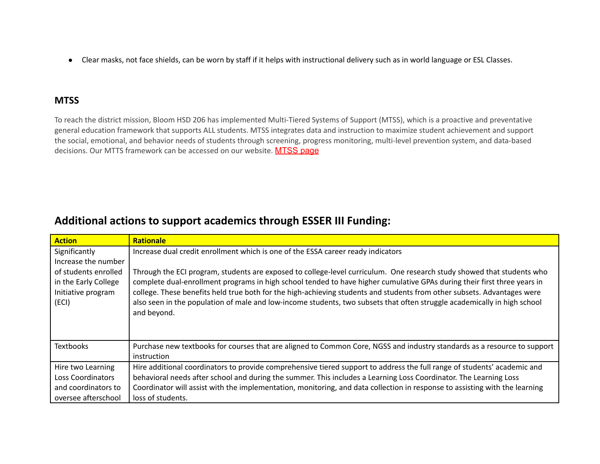● Clear masks, not face shields, can be worn by staff if it helps with instructional delivery such as in world language or ESL Classes.

#### **MTSS**

To reach the district mission, Bloom HSD 206 has implemented Multi-Tiered Systems of Support (MTSS), which is a proactive and preventative general education framework that supports ALL students. MTSS integrates data and instruction to maximize student achievement and support the social, emotional, and behavior needs of students through screening, progress monitoring, multi-level prevention system, and data-based decisions. Our MTTS framework can be accessed on our website. [MTSS](https://sd206.org/mtss/) page

### **Additional actions to support academics through ESSER III Funding:**

| <b>Action</b>        | <b>Rationale</b>                                                                                                                        |
|----------------------|-----------------------------------------------------------------------------------------------------------------------------------------|
| Significantly        | Increase dual credit enrollment which is one of the ESSA career ready indicators                                                        |
| Increase the number  |                                                                                                                                         |
| of students enrolled | Through the ECI program, students are exposed to college-level curriculum. One research study showed that students who                  |
| in the Early College | complete dual-enrollment programs in high school tended to have higher cumulative GPAs during their first three years in                |
| Initiative program   | college. These benefits held true both for the high-achieving students and students from other subsets. Advantages were                 |
| (ECI)                | also seen in the population of male and low-income students, two subsets that often struggle academically in high school<br>and beyond. |
|                      |                                                                                                                                         |
|                      |                                                                                                                                         |
| <b>Textbooks</b>     | Purchase new textbooks for courses that are aligned to Common Core, NGSS and industry standards as a resource to support                |
|                      | instruction                                                                                                                             |
| Hire two Learning    | Hire additional coordinators to provide comprehensive tiered support to address the full range of students' academic and                |
| Loss Coordinators    | behavioral needs after school and during the summer. This includes a Learning Loss Coordinator. The Learning Loss                       |
| and coordinators to  | Coordinator will assist with the implementation, monitoring, and data collection in response to assisting with the learning             |
| oversee afterschool  | loss of students.                                                                                                                       |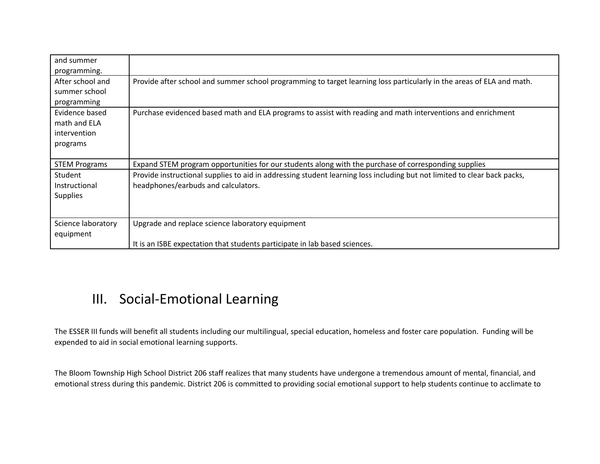| and summer<br>programming.                                 |                                                                                                                                                                 |
|------------------------------------------------------------|-----------------------------------------------------------------------------------------------------------------------------------------------------------------|
| After school and<br>summer school<br>programming           | Provide after school and summer school programming to target learning loss particularly in the areas of ELA and math.                                           |
| Evidence based<br>math and ELA<br>intervention<br>programs | Purchase evidenced based math and ELA programs to assist with reading and math interventions and enrichment                                                     |
| <b>STEM Programs</b>                                       | Expand STEM program opportunities for our students along with the purchase of corresponding supplies                                                            |
| Student<br>Instructional<br><b>Supplies</b>                | Provide instructional supplies to aid in addressing student learning loss including but not limited to clear back packs,<br>headphones/earbuds and calculators. |
| Science laboratory<br>equipment                            | Upgrade and replace science laboratory equipment                                                                                                                |
|                                                            | It is an ISBE expectation that students participate in lab based sciences.                                                                                      |

## III. Social-Emotional Learning

The ESSER III funds will benefit all students including our multilingual, special education, homeless and foster care population. Funding will be expended to aid in social emotional learning supports.

The Bloom Township High School District 206 staff realizes that many students have undergone a tremendous amount of mental, financial, and emotional stress during this pandemic. District 206 is committed to providing social emotional support to help students continue to acclimate to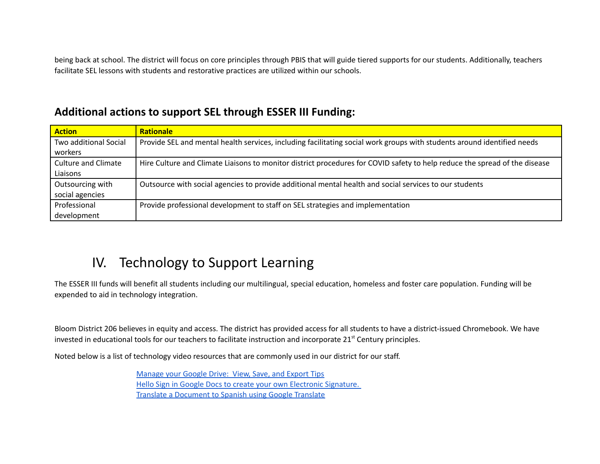being back at school. The district will focus on core principles through PBIS that will guide tiered supports for our students. Additionally, teachers facilitate SEL lessons with students and restorative practices are utilized within our schools.

### **Additional actions to support SEL through ESSER III Funding:**

| <b>Action</b>              | <b>Rationale</b>                                                                                                           |
|----------------------------|----------------------------------------------------------------------------------------------------------------------------|
| Two additional Social      | Provide SEL and mental health services, including facilitating social work groups with students around identified needs    |
| workers                    |                                                                                                                            |
| <b>Culture and Climate</b> | Hire Culture and Climate Liaisons to monitor district procedures for COVID safety to help reduce the spread of the disease |
| Liaisons                   |                                                                                                                            |
| Outsourcing with           | Outsource with social agencies to provide additional mental health and social services to our students                     |
| social agencies            |                                                                                                                            |
| Professional               | Provide professional development to staff on SEL strategies and implementation                                             |
| development                |                                                                                                                            |

# IV. Technology to Support Learning

The ESSER III funds will benefit all students including our multilingual, special education, homeless and foster care population. Funding will be expended to aid in technology integration.

Bloom District 206 believes in equity and access. The district has provided access for all students to have a district-issued Chromebook. We have invested in educational tools for our teachers to facilitate instruction and incorporate 21<sup>st</sup> Century principles.

Noted below is a list of technology video resources that are commonly used in our district for our staff.

[Manage](https://youtu.be/vWaLbjftZmg) your Google Drive: View, Save, and Export Tips Hello Sign in Google Docs to create your own Electronic [Signature.](https://www.youtube.com/watch?v=mHM1Ba0IXw0&feature=youtu.be) Translate a [Document](https://www.youtube.com/watch?v=GbGOP90qPN0) to Spanish using Google Translate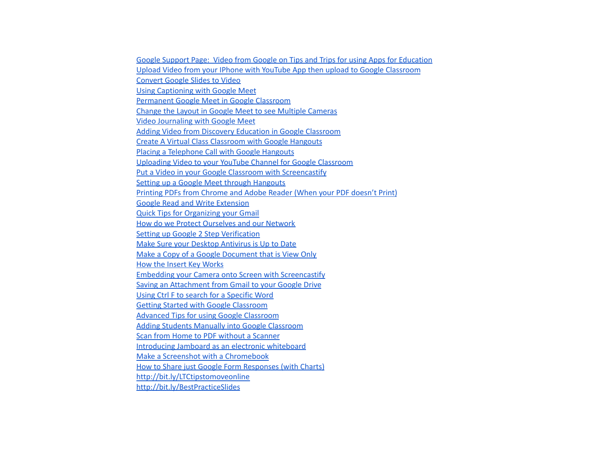Google Support Page: Video from Google on Tips and Trips for using Apps for [Education](https://support.google.com/edu/classroom/answer/9776888) Upload Video from your IPhone with YouTube App then upload to Google [Classroom](https://www.youtube.com/watch?v=fiU8pCUGw50) [Convert](https://www.youtube.com/watch?v=mRhreRUkVko) Google Slides to Video Using [Captioning](https://www.youtube.com/watch?v=qxPIe7Arr_A) with Google Meet [Permanent](https://www.youtube.com/watch?v=XNMgmMlszB4&feature=youtu.be) Google Meet in Google Classroom Change the Layout in Google Meet to see Multiple [Cameras](https://www.youtube.com/watch?v=MMuj_g4XTPo) Video [Journaling](https://www.youtube.com/watch?v=fiX-ByMrKAg&feature=youtu.be) with Google Meet Adding Video from Discovery Education in Google [Classroom](https://www.youtube.com/watch?v=vsybF-Kk8Ko) Create A Virtual Class [Classroom](https://www.youtube.com/watch?v=np9XWMrypqc) with Google Hangouts Placing a [Telephone](https://www.youtube.com/watch?v=OkRalIQk6Ls) Call with Google Hangouts Uploading Video to your YouTube Channel for Google [Classroom](https://www.youtube.com/watch?v=4ZK-JcDwjnY) Put a Video in your Google Classroom with [Screencastify](https://www.youtube.com/watch?v=Wm9og5nrIaw) Setting up a Google Meet through [Hangouts](https://www.youtube.com/watch?v=nw222Aj9BCg) Printing PDFs from [Chrome](https://www.youtube.com/watch?v=eFlgexumTzs) and Adobe Reader (When your PDF doesn't Print) Google Read and Write [Extension](https://www.youtube.com/watch?v=NJk8Z4n5xNY) Quick Tips for [Organizing](https://www.youtube.com/watch?v=lW5GoOrTCX4) your Gmail How do we Protect [Ourselves](https://www.youtube.com/watch?v=w59o3yqQbYw) and our Network Setting up Google 2 Step [Verification](https://www.youtube.com/watch?v=AN4hpA7NFks) Make Sure your Desktop [Antivirus](https://www.youtube.com/watch?v=gIP40GfL3pw) is Up to Date Make a Copy of a Google [Document](https://www.youtube.com/watch?v=mmPg-LYIR2U) that is View Only How the Insert Key [Works](https://www.youtube.com/watch?v=eWP022-rPk0) Embedding your Camera onto Screen with [Screencastify](https://www.youtube.com/watch?v=huFaEZJjts8) Saving an [Attachment](https://www.youtube.com/watch?v=xB2e8JYTmUc) from Gmail to your Google Drive Using Ctrl F to search for a [Specific](https://www.youtube.com/watch?v=8W43dzROp6w) Word Getting Started with Google [Classroom](https://www.youtube.com/watch?v=rCNImsWUxZA&t=119s) Advanced Tips for using Google [Classroom](https://www.youtube.com/watch?v=qOUEP29MX58) Adding Students Manually into Google [Classroom](https://youtu.be/wfc6288ie1Y) Scan from Home to PDF without a [Scanner](https://youtu.be/wfc6288ie1Y) Introducing Jamboard as an electronic [whiteboard](https://www.youtube.com/watch?v=C_eBfyWQEFo&feature=youtu.be) Make a Screenshot with a [Chromebook](https://www.youtube.com/watch?v=5_n8bYud6qc) How to Share just Google Form [Responses](https://www.youtube.com/watch?v=G-AGcfGXvl0) (with Charts) <http://bit.ly/LTCtipstomoveonline> <http://bit.ly/BestPracticeSlides>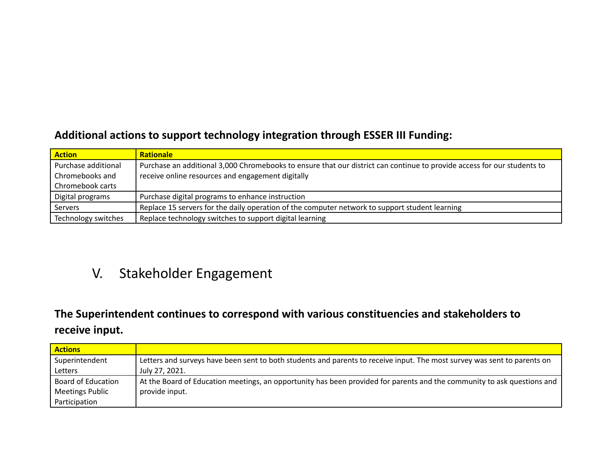### **Additional actions to support technology integration through ESSER III Funding:**

| <b>Action</b>       | <b>Rationale</b>                                                                                                        |
|---------------------|-------------------------------------------------------------------------------------------------------------------------|
| Purchase additional | Purchase an additional 3,000 Chromebooks to ensure that our district can continue to provide access for our students to |
| Chromebooks and     | receive online resources and engagement digitally                                                                       |
| Chromebook carts    |                                                                                                                         |
| Digital programs    | Purchase digital programs to enhance instruction                                                                        |
| Servers             | Replace 15 servers for the daily operation of the computer network to support student learning                          |
| Technology switches | Replace technology switches to support digital learning                                                                 |

### V. Stakeholder Engagement

### **The Superintendent continues to correspond with various constituencies and stakeholders to receive input.**

| <b>Actions</b>            |                                                                                                                          |
|---------------------------|--------------------------------------------------------------------------------------------------------------------------|
| Superintendent            | Letters and surveys have been sent to both students and parents to receive input. The most survey was sent to parents on |
| Letters                   | July 27, 2021.                                                                                                           |
| <b>Board of Education</b> | At the Board of Education meetings, an opportunity has been provided for parents and the community to ask questions and  |
| <b>Meetings Public</b>    | provide input.                                                                                                           |
| Participation             |                                                                                                                          |